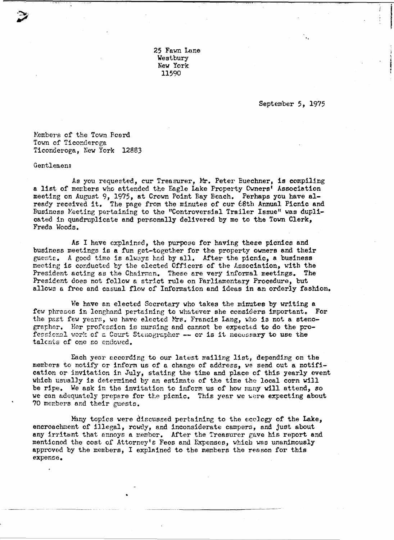25 Fawn Lane Westbury New York 11590

September 5, 1975

Members of the Town Board Town of Ticonderoga Ticonderoga, New York 12883

Gentlemen:

As you requested, cur Treasurer, Mr. Peter Euechner, is compiling a list of members who attended the Eagle Lake Property Cwners' Association meeting on August 9, 1975, at Crown Point Bay Beach. Perhaps you have already received it. The page from the minutes of our 68th Annual Picnic and Business Meeting pertaining to the "Controversial Trailer Issue" was duplicated in quadruplicate and personally delivered by me to the Town Clerk, Freda Woods.

As I have explained, the purpose for having these picnics and business meetings is a fun get-together for the property owners and their guests. A good time is always had by all. After the picnic, a business meeting is conducted by the elected Officers of the Association, with the President acting as the Chairman. These are very informal meetings. The President does not follow a strict rule on Parliamentary Procedure, but allows a free and casual flow of Information and ideas in an orderly fashion.

We have an elected Secretary who takes the mimites by writing a few phrases in longhand pertaining to whatever she considers important. For the past few years, we have elected Mrs. Francis Lang, who is not a stenographer. Her profession is nursing and cannot be expected to do the professional work of a Court Stenographer -- or is it necessary to use the talents of one so endoved.

Each year according to our latest mailing list, depending on the members to notify or inform us of a change of address, we send out a notification or invitation in July, stating the time and place of this yearly event which usually is determined by an estimate of the time the local corn will be ripe. We ask in the invitation to inform us of how many will attend, so we can adequately prepare for the picnic. This year we were expecting about 70 members and their guests.

Many topics were discussed pertaining to the ecology of the Lake, encroachment of illegal, rowdy, and inconsiderate campers, and just about any irritant that annoys a member. After the Treasurer gave his report and mentioned the cost of Attorney's Fees and Expenses, which was unanimously approved by the members, I explained to the members the reason for this expense.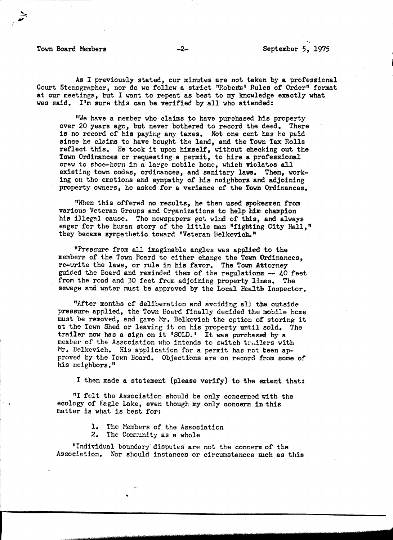## Town Board Members -2- -2- September 5, 1975

As I previously stated, our minutes are not taken by a professional Court Stenographer, nor do we follow a strict "Roberts' Rules of Order" format at our meetines, but I want to repeat as best to my knowledge exactly what was said. I'm sure this can be verified by all who attended:

"We have a member who claims to have purchased his property over 20 years ago, but never bothered to record the deed. There is no record of his paying any taxes. Not one cent has he paid since he claims to have bought the land, and the Town Tax Rolls reflect this. He took it upon himself, without checking out the Town Ordinances or requesting a permit, to hire a professional crew to shoe-horn in a large mobile home, which violates all existing town codes, ordinances, and sanitary laws. Then, working on the emotions and sympathy of his neighbors and adjoining property owners, he asked for a variance of the Town Ordinances.

"When this offered no results, he then used spokesmen from various Veteran Groups and OrganiZations to help him champion his illegal cause. The newspapers got wind of this, and always eager for the human story of the little man "fighting City Hall." they became sympathetic toward "Veteran Belkevich."

"Pressure from all imaginable angles was applied to the members of the Town Board to either change the Town Ordinances, re-write the laws, or rule in his favor. The Town Attorney guided the Board and reminded them of the regulations  $-40$  feet from the road and 30 feet from adjoining property lines. The sewage and water must be approved by the Local Health Inspector.

"After months of deliberation and aveiding all the outside pressure applied, the Tovn Eoard finally decided the mobile heme must be removed, and gave Mr. Belkevich the option of storing it at the Town Shed or leaving it on his property until sold. The trailer now has a sign on it 'SOLD.' It was purchased by a. member of the Association who intends to switch trailers with Mr. Belkevich. His application for a permit has not been approved by the Town Board. Objections are on record from some of his neighbors."

I then made a statement (please verify) to the ertent that:

"I felt the Association should be only concerned with the ecology of Eagle Lake, even though my only concern in this matter is what is best for:

- 1. The Members of the Association
- 2. The Community as a whole

I

"Individual boundary' disputes are not the concern of the Association. Nor should instances or circumstances such as this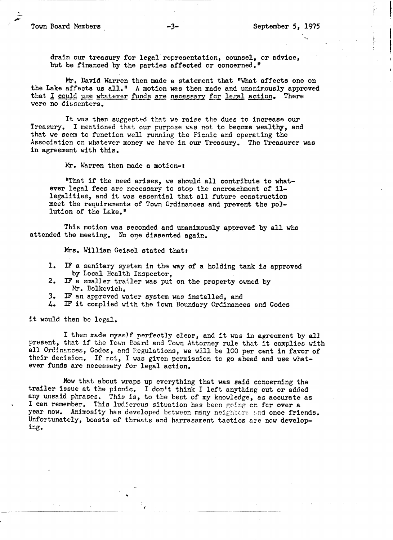'.

drain our treasury for legal representation, counsel, or advice, but be financed by the parties affected or concerned."

Mr. David Warren then made a statement that "What affects one on the Lake affects us all." A motion was then made and unanimously approved that I could use whatever funds are necessary for legal action. There were no dissenters.

It was then suggested that we raise the dues to increase our Treasury. I mentioned that our purpose was not to become wealthy, and that we seem to function well running the Picnic and operating the Association on whatever money we have in our Treasury. The Treasurer was in agreement with this.

Mr. Warren then made a motion-:

"That if the need arises, we should all contribute to whatever legal fees are necessary to stop the encroachment of illegalities, and it was essential that all future construction meet the requirements of Town Ordinances and prevent the pollution of the Lake."

This motion was seconded and unanimously approved by all who attended the meeting. No one dissented again.

Mrs. William Geisel stated that:

•

- 1. IF a sanitary system in the way of a holding tank is approved by Local Health Inspector,
- 2. IF a smaller trailer was put on the property owned by Mr. Belkevich,<br>3. IF an approved water system was installed, and
- IF an approved water system was installed, and
- 4. IF it complied with the Town Boundary Ordinances and Codes

it would then be legal.

I then made myself perfectly clear, and it was in agreement by all present, that if the Town Board and Town Attorney rule that it complies with all Ordinances, Codes, and Regulations, we will be 100 per cent in favor of their decision. If not, I was given permission to go ahead and use whatever funds are necessary for legal action.

Now that about wraps up everything that was said concerning the trailer issue at the picnic. I don't think I left anything out or added any unsaid phrases. This is, to the best of my knowledge, as accurate as I can remember. This ludicrous situation has been going on for over a year now. Animosity has developed between many neighbors and once friends. Unfortunately, boasts of threats and harrassment tactics are now develop-